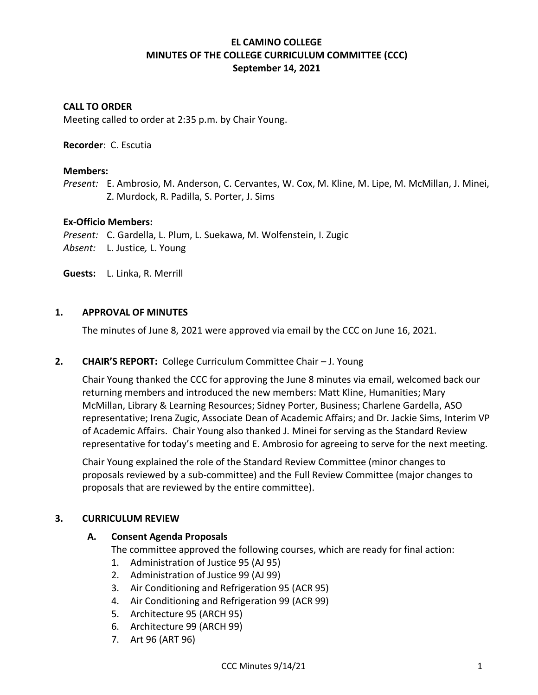# **EL CAMINO COLLEGE MINUTES OF THE COLLEGE CURRICULUM COMMITTEE (CCC) September 14, 2021**

## **CALL TO ORDER**

Meeting called to order at 2:35 p.m. by Chair Young.

#### **Recorder**: C. Escutia

#### **Members:**

*Present:* E. Ambrosio, M. Anderson, C. Cervantes, W. Cox, M. Kline, M. Lipe, M. McMillan, J. Minei, Z. Murdock, R. Padilla, S. Porter, J. Sims

#### **Ex-Officio Members:**

*Present:* C. Gardella, L. Plum, L. Suekawa, M. Wolfenstein, I. Zugic *Absent:* L. Justice*,* L. Young

**Guests:** L. Linka, R. Merrill

### **1. APPROVAL OF MINUTES**

The minutes of June 8, 2021 were approved via email by the CCC on June 16, 2021.

### **2. CHAIR'S REPORT:** College Curriculum Committee Chair – J. Young

Chair Young thanked the CCC for approving the June 8 minutes via email, welcomed back our returning members and introduced the new members: Matt Kline, Humanities; Mary McMillan, Library & Learning Resources; Sidney Porter, Business; Charlene Gardella, ASO representative; Irena Zugic, Associate Dean of Academic Affairs; and Dr. Jackie Sims, Interim VP of Academic Affairs. Chair Young also thanked J. Minei for serving as the Standard Review representative for today's meeting and E. Ambrosio for agreeing to serve for the next meeting.

Chair Young explained the role of the Standard Review Committee (minor changes to proposals reviewed by a sub-committee) and the Full Review Committee (major changes to proposals that are reviewed by the entire committee).

### **3. CURRICULUM REVIEW**

### **A. Consent Agenda Proposals**

The committee approved the following courses, which are ready for final action:

- 1. Administration of Justice 95 (AJ 95)
- 2. Administration of Justice 99 (AJ 99)
- 3. Air Conditioning and Refrigeration 95 (ACR 95)
- 4. Air Conditioning and Refrigeration 99 (ACR 99)
- 5. Architecture 95 (ARCH 95)
- 6. Architecture 99 (ARCH 99)
- 7. Art 96 (ART 96)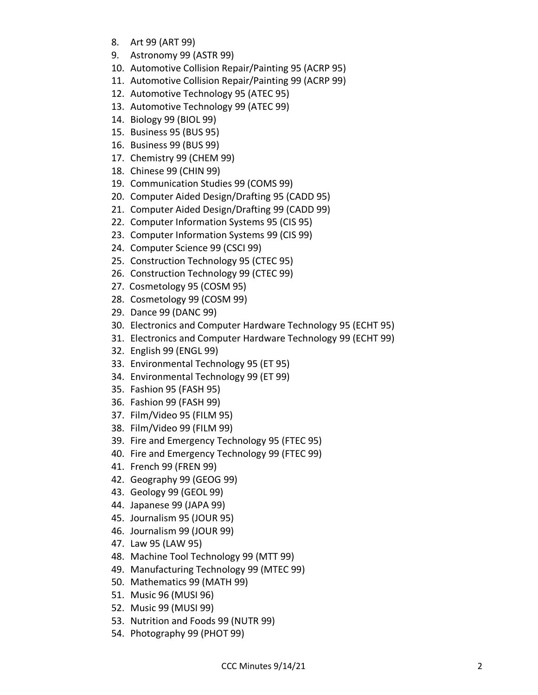- 8. Art 99 (ART 99)
- 9. Astronomy 99 (ASTR 99)
- 10. Automotive Collision Repair/Painting 95 (ACRP 95)
- 11. Automotive Collision Repair/Painting 99 (ACRP 99)
- 12. Automotive Technology 95 (ATEC 95)
- 13. Automotive Technology 99 (ATEC 99)
- 14. Biology 99 (BIOL 99)
- 15. Business 95 (BUS 95)
- 16. Business 99 (BUS 99)
- 17. Chemistry 99 (CHEM 99)
- 18. Chinese 99 (CHIN 99)
- 19. Communication Studies 99 (COMS 99)
- 20. Computer Aided Design/Drafting 95 (CADD 95)
- 21. Computer Aided Design/Drafting 99 (CADD 99)
- 22. Computer Information Systems 95 (CIS 95)
- 23. Computer Information Systems 99 (CIS 99)
- 24. Computer Science 99 (CSCI 99)
- 25. Construction Technology 95 (CTEC 95)
- 26. Construction Technology 99 (CTEC 99)
- 27. Cosmetology 95 (COSM 95)
- 28. Cosmetology 99 (COSM 99)
- 29. Dance 99 (DANC 99)
- 30. Electronics and Computer Hardware Technology 95 (ECHT 95)
- 31. Electronics and Computer Hardware Technology 99 (ECHT 99)
- 32. English 99 (ENGL 99)
- 33. Environmental Technology 95 (ET 95)
- 34. Environmental Technology 99 (ET 99)
- 35. Fashion 95 (FASH 95)
- 36. Fashion 99 (FASH 99)
- 37. Film/Video 95 (FILM 95)
- 38. Film/Video 99 (FILM 99)
- 39. Fire and Emergency Technology 95 (FTEC 95)
- 40. Fire and Emergency Technology 99 (FTEC 99)
- 41. French 99 (FREN 99)
- 42. Geography 99 (GEOG 99)
- 43. Geology 99 (GEOL 99)
- 44. Japanese 99 (JAPA 99)
- 45. Journalism 95 (JOUR 95)
- 46. Journalism 99 (JOUR 99)
- 47. Law 95 (LAW 95)
- 48. Machine Tool Technology 99 (MTT 99)
- 49. Manufacturing Technology 99 (MTEC 99)
- 50. Mathematics 99 (MATH 99)
- 51. Music 96 (MUSI 96)
- 52. Music 99 (MUSI 99)
- 53. Nutrition and Foods 99 (NUTR 99)
- 54. Photography 99 (PHOT 99)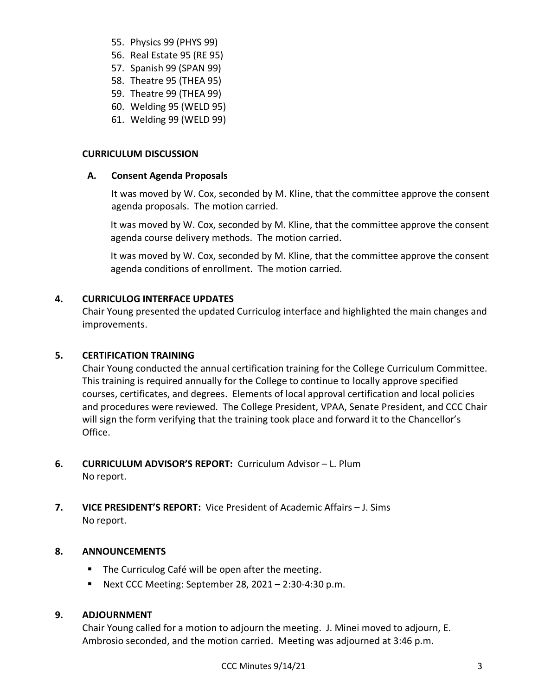- 55. Physics 99 (PHYS 99)
- 56. Real Estate 95 (RE 95)
- 57. Spanish 99 (SPAN 99)
- 58. Theatre 95 (THEA 95)
- 59. Theatre 99 (THEA 99)
- 60. Welding 95 (WELD 95)
- 61. Welding 99 (WELD 99)

## **CURRICULUM DISCUSSION**

## **A. Consent Agenda Proposals**

It was moved by W. Cox, seconded by M. Kline, that the committee approve the consent agenda proposals. The motion carried.

It was moved by W. Cox, seconded by M. Kline, that the committee approve the consent agenda course delivery methods. The motion carried.

It was moved by W. Cox, seconded by M. Kline, that the committee approve the consent agenda conditions of enrollment. The motion carried.

# **4. CURRICULOG INTERFACE UPDATES**

Chair Young presented the updated Curriculog interface and highlighted the main changes and improvements.

# **5. CERTIFICATION TRAINING**

Chair Young conducted the annual certification training for the College Curriculum Committee. This training is required annually for the College to continue to locally approve specified courses, certificates, and degrees. Elements of local approval certification and local policies and procedures were reviewed. The College President, VPAA, Senate President, and CCC Chair will sign the form verifying that the training took place and forward it to the Chancellor's Office.

- **6. CURRICULUM ADVISOR'S REPORT:** Curriculum Advisor L. Plum No report.
- **7. VICE PRESIDENT'S REPORT:** Vice President of Academic Affairs J. Sims No report.

# **8. ANNOUNCEMENTS**

- The Curriculog Café will be open after the meeting.
- **•** Next CCC Meeting: September 28, 2021 2:30-4:30 p.m.

# **9. ADJOURNMENT**

Chair Young called for a motion to adjourn the meeting. J. Minei moved to adjourn, E. Ambrosio seconded, and the motion carried. Meeting was adjourned at 3:46 p.m.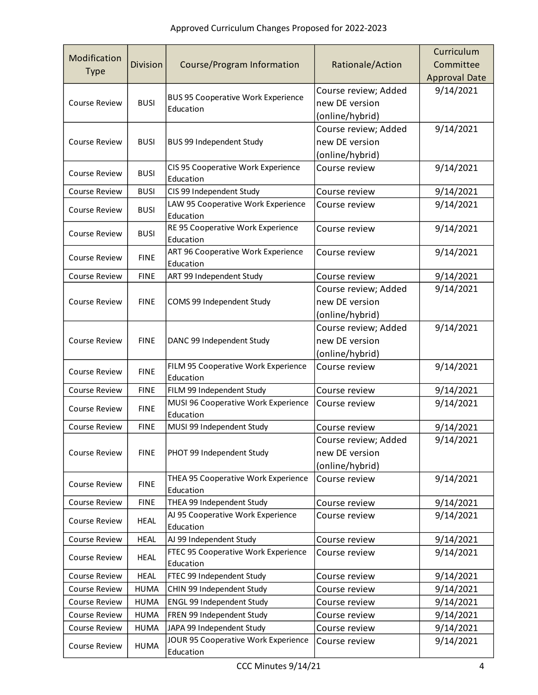|                      |                 |                                                        |                      | Curriculum           |
|----------------------|-----------------|--------------------------------------------------------|----------------------|----------------------|
| Modification         | <b>Division</b> | Course/Program Information                             | Rationale/Action     | Committee            |
| <b>Type</b>          |                 |                                                        |                      | <b>Approval Date</b> |
| <b>Course Review</b> | <b>BUSI</b>     | <b>BUS 95 Cooperative Work Experience</b><br>Education | Course review; Added | 9/14/2021            |
|                      |                 |                                                        | new DE version       |                      |
|                      |                 |                                                        | (online/hybrid)      |                      |
|                      | <b>BUSI</b>     | <b>BUS 99 Independent Study</b>                        | Course review; Added | 9/14/2021            |
| <b>Course Review</b> |                 |                                                        | new DE version       |                      |
|                      |                 |                                                        | (online/hybrid)      |                      |
| <b>Course Review</b> | <b>BUSI</b>     | CIS 95 Cooperative Work Experience                     | Course review        | 9/14/2021            |
|                      |                 | Education                                              |                      |                      |
| <b>Course Review</b> | <b>BUSI</b>     | CIS 99 Independent Study                               | Course review        | 9/14/2021            |
| <b>Course Review</b> | <b>BUSI</b>     | LAW 95 Cooperative Work Experience<br>Education        | Course review        | 9/14/2021            |
| <b>Course Review</b> | <b>BUSI</b>     | RE 95 Cooperative Work Experience<br>Education         | Course review        | 9/14/2021            |
| <b>Course Review</b> | <b>FINE</b>     | ART 96 Cooperative Work Experience<br>Education        | Course review        | 9/14/2021            |
| <b>Course Review</b> | <b>FINE</b>     | ART 99 Independent Study                               | Course review        | 9/14/2021            |
|                      |                 |                                                        | Course review; Added | 9/14/2021            |
| <b>Course Review</b> | <b>FINE</b>     | COMS 99 Independent Study                              | new DE version       |                      |
|                      |                 |                                                        | (online/hybrid)      |                      |
|                      | <b>FINE</b>     |                                                        | Course review; Added | 9/14/2021            |
| <b>Course Review</b> |                 | DANC 99 Independent Study                              | new DE version       |                      |
|                      |                 |                                                        | (online/hybrid)      |                      |
| <b>Course Review</b> | <b>FINE</b>     | FILM 95 Cooperative Work Experience<br>Education       | Course review        | 9/14/2021            |
| Course Review        | <b>FINE</b>     | FILM 99 Independent Study                              | Course review        | 9/14/2021            |
|                      | <b>FINE</b>     | MUSI 96 Cooperative Work Experience                    | Course review        | 9/14/2021            |
| <b>Course Review</b> |                 | Education                                              |                      |                      |
| Course Review        | <b>FINE</b>     | MUSI 99 Independent Study                              | Course review        | 9/14/2021            |
|                      | <b>FINE</b>     | PHOT 99 Independent Study                              | Course review; Added | 9/14/2021            |
| Course Review        |                 |                                                        | new DE version       |                      |
|                      |                 |                                                        | (online/hybrid)      |                      |
| Course Review        | <b>FINE</b>     | THEA 95 Cooperative Work Experience                    | Course review        | 9/14/2021            |
|                      |                 | Education                                              |                      |                      |
| Course Review        | <b>FINE</b>     | THEA 99 Independent Study                              | Course review        | 9/14/2021            |
| Course Review        | <b>HEAL</b>     | AJ 95 Cooperative Work Experience<br>Education         | Course review        | 9/14/2021            |
| Course Review        | <b>HEAL</b>     | AJ 99 Independent Study                                | Course review        | 9/14/2021            |
| Course Review        | <b>HEAL</b>     | FTEC 95 Cooperative Work Experience                    | Course review        | 9/14/2021            |
|                      |                 | Education                                              |                      |                      |
| Course Review        | <b>HEAL</b>     | FTEC 99 Independent Study                              | Course review        | 9/14/2021            |
| Course Review        | <b>HUMA</b>     | CHIN 99 Independent Study                              | Course review        | 9/14/2021            |
| Course Review        | <b>HUMA</b>     | ENGL 99 Independent Study                              | Course review        | 9/14/2021            |
| Course Review        | <b>HUMA</b>     | FREN 99 Independent Study                              | Course review        | 9/14/2021            |
| Course Review        | <b>HUMA</b>     | JAPA 99 Independent Study                              | Course review        | 9/14/2021            |
| Course Review        | <b>HUMA</b>     | JOUR 95 Cooperative Work Experience<br>Education       | Course review        | 9/14/2021            |